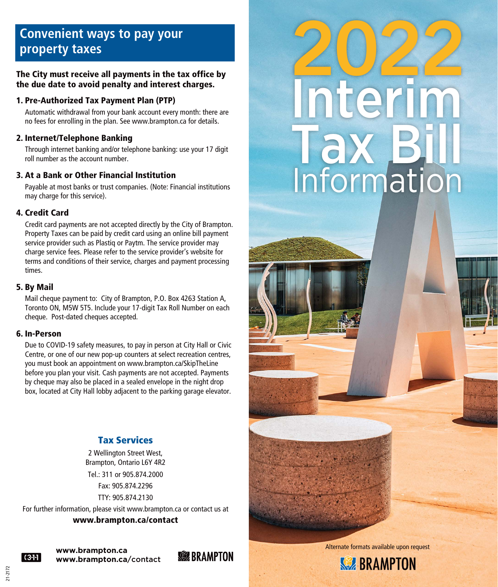# **Convenient ways to pay your property taxes**

#### The City must receive all payments in the tax office by the due date to avoid penalty and interest charges.

#### 1. Pre-Authorized Tax Payment Plan (PTP)

 Automatic withdrawal from your bank account every month: there are no fees for enrolling in the plan. See www.brampton.ca for details.

#### 2. Internet/Telephone Banking

 Through internet banking and/or telephone banking: use your 17 digit roll number as the account number.

#### 3. At a Bank or Other Financial Institution

 Payable at most banks or trust companies. (Note: Financial institutions may charge for this service).

#### 4. Credit Card

 Credit card payments are not accepted directly by the City of Brampton. Property Taxes can be paid by credit card using an online bill payment service provider such as Plastiq or Paytm. The service provider may charge service fees. Please refer to the service provider's website for terms and conditions of their service, charges and payment processing times.

#### 5. By Mail

 Mail cheque payment to: City of Brampton, P.O. Box 4263 Station A, Toronto ON, M5W 5T5. Include your 17-digit Tax Roll Number on each cheque. Post-dated cheques accepted.

#### 6. In-Person

 Due to COVID-19 safety measures, to pay in person at City Hall or Civic Centre, or one of our new pop-up counters at select recreation centres, you must book an appointment on www.brampton.ca/SkipTheLine before you plan your visit. Cash payments are not accepted. Payments by cheque may also be placed in a sealed envelope in the night drop box, located at City Hall lobby adjacent to the parking garage elevator.

### Tax Services

2 Wellington Street West, Brampton, Ontario L6Y 4R2

Tel: 311 or 905 874 2000 Fax: 905.874.2296

TTY: 905.874.2130

For further information, please visit www.brampton.ca or contact us at

www.brampton.ca/contact



21-2172

**www.brampton.ca www.brampton.ca**/contact